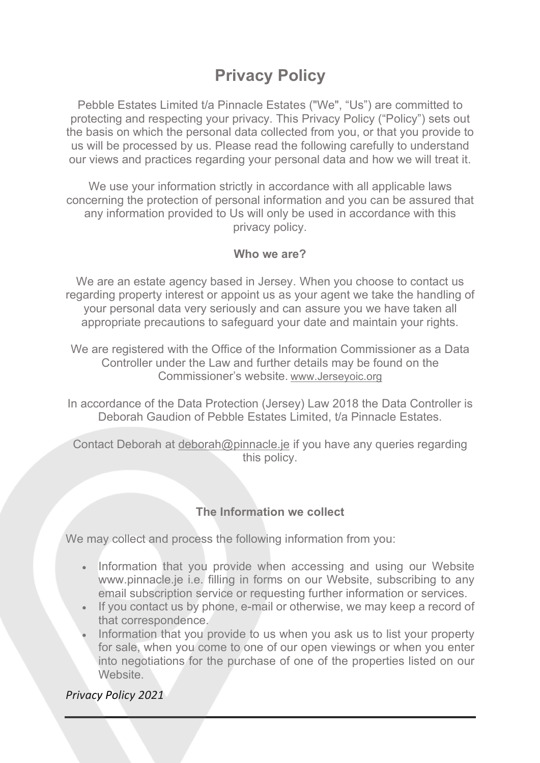# **Privacy Policy**

Pebble Estates Limited t/a Pinnacle Estates ("We", "Us") are committed to protecting and respecting your privacy. This Privacy Policy ("Policy") sets out the basis on which the personal data collected from you, or that you provide to us will be processed by us. Please read the following carefully to understand our views and practices regarding your personal data and how we will treat it.

We use your information strictly in accordance with all applicable laws concerning the protection of personal information and you can be assured that any information provided to Us will only be used in accordance with this privacy policy.

#### **Who we are?**

We are an estate agency based in Jersey. When you choose to contact us regarding property interest or appoint us as your agent we take the handling of your personal data very seriously and can assure you we have taken all appropriate precautions to safeguard your date and maintain your rights.

We are registered with the Office of the Information Commissioner as a Data Controller under the Law and further details may be found on the Commissioner's website. www.Jerseyoic.org

In accordance of the Data Protection (Jersey) Law 2018 the Data Controller is Deborah Gaudion of Pebble Estates Limited, t/a Pinnacle Estates.

Contact Deborah at deborah@pinnacle.je if you have any queries regarding this policy.

## **The Information we collect**

We may collect and process the following information from you:

- Information that you provide when accessing and using our Website www.pinnacle.je i.e. filling in forms on our Website, subscribing to any email subscription service or requesting further information or services.
- If you contact us by phone, e-mail or otherwise, we may keep a record of that correspondence.
- Information that you provide to us when you ask us to list your property for sale, when you come to one of our open viewings or when you enter into negotiations for the purchase of one of the properties listed on our Website.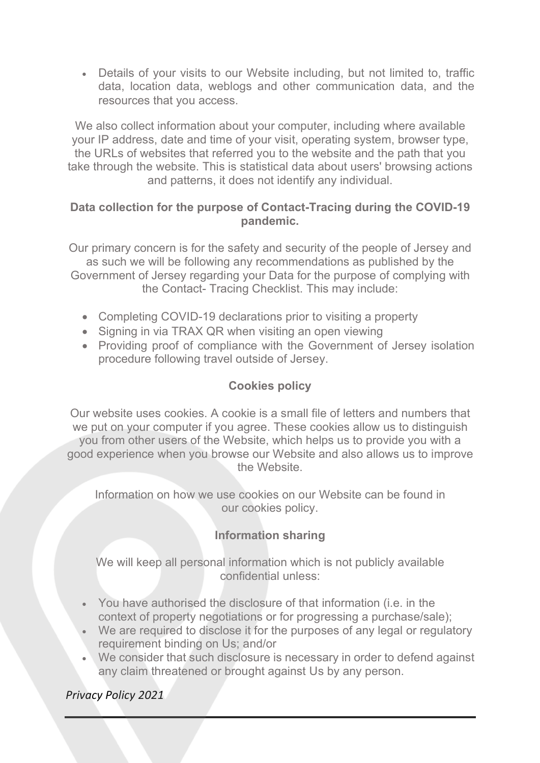• Details of your visits to our Website including, but not limited to, traffic data, location data, weblogs and other communication data, and the resources that you access.

We also collect information about your computer, including where available your IP address, date and time of your visit, operating system, browser type, the URLs of websites that referred you to the website and the path that you take through the website. This is statistical data about users' browsing actions and patterns, it does not identify any individual.

## **Data collection for the purpose of Contact-Tracing during the COVID-19 pandemic.**

Our primary concern is for the safety and security of the people of Jersey and as such we will be following any recommendations as published by the Government of Jersey regarding your Data for the purpose of complying with the Contact- Tracing Checklist. This may include:

- Completing COVID-19 declarations prior to visiting a property
- Signing in via TRAX QR when visiting an open viewing
- Providing proof of compliance with the Government of Jersey isolation procedure following travel outside of Jersey.

# **Cookies policy**

Our website uses cookies. A cookie is a small file of letters and numbers that we put on your computer if you agree. These cookies allow us to distinguish you from other users of the Website, which helps us to provide you with a good experience when you browse our Website and also allows us to improve the Website.

Information on how we use cookies on our Website can be found in our cookies policy.

# **Information sharing**

We will keep all personal information which is not publicly available confidential unless:

- You have authorised the disclosure of that information (i.e. in the context of property negotiations or for progressing a purchase/sale);
- We are required to disclose it for the purposes of any legal or regulatory requirement binding on Us; and/or
- We consider that such disclosure is necessary in order to defend against any claim threatened or brought against Us by any person.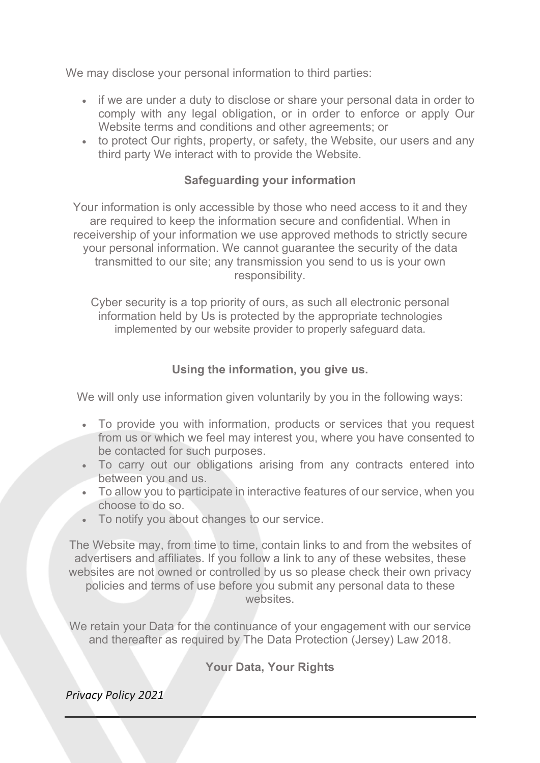We may disclose your personal information to third parties:

- if we are under a duty to disclose or share your personal data in order to comply with any legal obligation, or in order to enforce or apply Our Website terms and conditions and other agreements; or
- to protect Our rights, property, or safety, the Website, our users and any third party We interact with to provide the Website.

## **Safeguarding your information**

Your information is only accessible by those who need access to it and they are required to keep the information secure and confidential. When in receivership of your information we use approved methods to strictly secure your personal information. We cannot guarantee the security of the data transmitted to our site; any transmission you send to us is your own responsibility.

Cyber security is a top priority of ours, as such all electronic personal information held by Us is protected by the appropriate technologies implemented by our website provider to properly safeguard data.

## **Using the information, you give us.**

We will only use information given voluntarily by you in the following ways:

- To provide you with information, products or services that you request from us or which we feel may interest you, where you have consented to be contacted for such purposes.
- To carry out our obligations arising from any contracts entered into between you and us.
- To allow you to participate in interactive features of our service, when you choose to do so.
- To notify you about changes to our service.

The Website may, from time to time, contain links to and from the websites of advertisers and affiliates. If you follow a link to any of these websites, these websites are not owned or controlled by us so please check their own privacy policies and terms of use before you submit any personal data to these websites.

We retain your Data for the continuance of your engagement with our service and thereafter as required by The Data Protection (Jersey) Law 2018.

# **Your Data, Your Rights**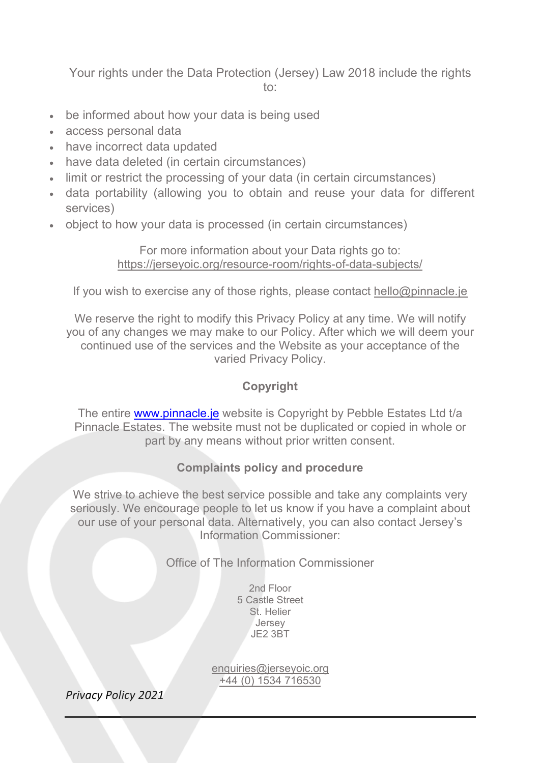Your rights under the Data Protection (Jersey) Law 2018 include the rights to:

- be informed about how your data is being used
- access personal data
- have incorrect data updated
- have data deleted (in certain circumstances)
- limit or restrict the processing of your data (in certain circumstances)
- data portability (allowing you to obtain and reuse your data for different services)
- object to how your data is processed (in certain circumstances)

For more information about your Data rights go to: https://jerseyoic.org/resource-room/rights-of-data-subjects/

If you wish to exercise any of those rights, please contact hello@pinnacle.je

We reserve the right to modify this Privacy Policy at any time. We will notify you of any changes we may make to our Policy. After which we will deem your continued use of the services and the Website as your acceptance of the varied Privacy Policy.

# **Copyright**

The entire www.pinnacle.je website is Copyright by Pebble Estates Ltd t/a Pinnacle Estates. The website must not be duplicated or copied in whole or part by any means without prior written consent.

## **Complaints policy and procedure**

We strive to achieve the best service possible and take any complaints very seriously. We encourage people to let us know if you have a complaint about our use of your personal data. Alternatively, you can also contact Jersey's Information Commissioner:

Office of The Information Commissioner

2nd Floor 5 Castle Street St. Helier **Jersey** JE2 3BT

enquiries@jerseyoic.org +44 (0) 1534 716530